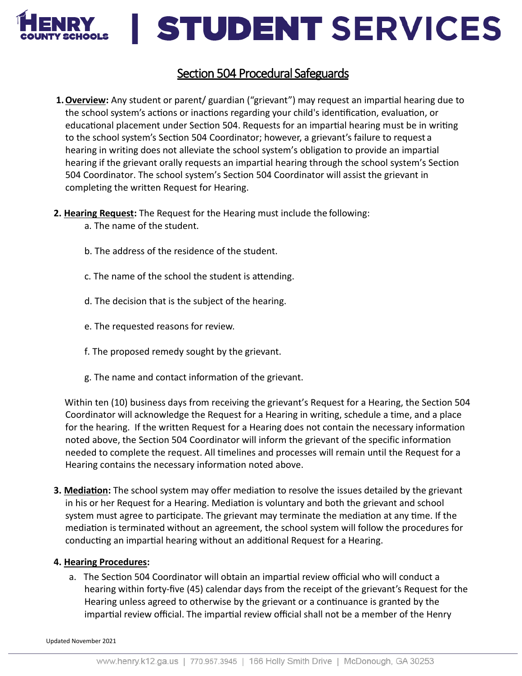

### **STUDENT SERVICES**

### Section 504 Procedural Safeguards

**1.Overview:** Any student or parent/ guardian ("grievant") may request an impartial hearing due to the school system's actions or inactions regarding your child's identification, evaluation, or educational placement under Section 504. Requests for an impartial hearing must be in writing to the school system's Section 504 Coordinator; however, a grievant's failure to request a hearing in writing does not alleviate the school system's obligation to provide an impartial hearing if the grievant orally requests an impartial hearing through the school system's Section 504 Coordinator. The school system's Section 504 Coordinator will assist the grievant in completing the written Request for Hearing.

#### **2. Hearing Request:** The Request for the Hearing must include the following:

- a. The name of the student.
- b. The address of the residence of the student.
- c. The name of the school the student is attending.
- d. The decision that is the subject of the hearing.
- e. The requested reasons for review.
- f. The proposed remedy sought by the grievant.
- g. The name and contact information of the grievant.

Within ten (10) business days from receiving the grievant's Request for a Hearing, the Section 504 Coordinator will acknowledge the Request for a Hearing in writing, schedule a time, and a place for the hearing. If the written Request for a Hearing does not contain the necessary information noted above, the Section 504 Coordinator will inform the grievant of the specific information needed to complete the request. All timelines and processes will remain until the Request for a Hearing contains the necessary information noted above.

**3. Mediation:** The school system may offer mediation to resolve the issues detailed by the grievant in his or her Request for a Hearing. Mediation is voluntary and both the grievant and school system must agree to participate. The grievant may terminate the mediation at any time. If the mediation is terminated without an agreement, the school system will follow the procedures for conducting an impartial hearing without an additional Request for a Hearing.

#### **4. Hearing Procedures:**

a. The Section 504 Coordinator will obtain an impartial review official who will conduct a hearing within forty-five (45) calendar days from the receipt of the grievant's Request for the Hearing unless agreed to otherwise by the grievant or a continuance is granted by the impartial review official. The impartial review official shall not be a member of the Henry

Updated November 2021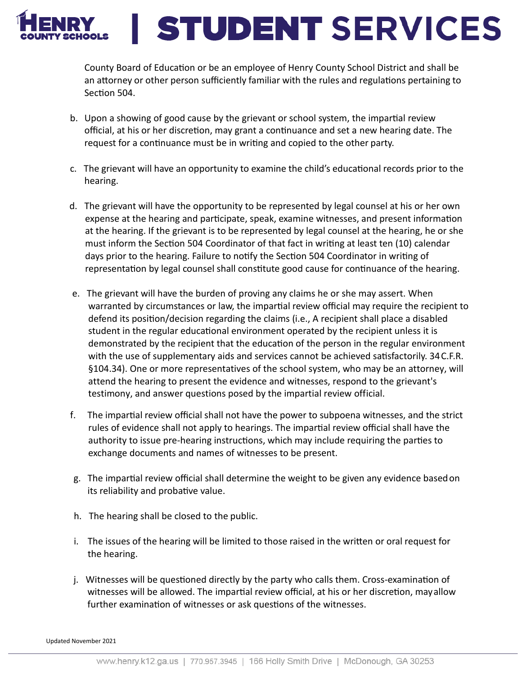

# **STUDENT SERVICES**

County Board of Education or be an employee of Henry County School District and shall be an attorney or other person sufficiently familiar with the rules and regulations pertaining to Section 504.

- b. Upon a showing of good cause by the grievant or school system, the impartial review official, at his or her discretion, may grant a continuance and set a new hearing date. The request for a continuance must be in writing and copied to the other party.
- c. The grievant will have an opportunity to examine the child's educational records prior to the hearing.
- d. The grievant will have the opportunity to be represented by legal counsel at his or her own expense at the hearing and participate, speak, examine witnesses, and present information at the hearing. If the grievant is to be represented by legal counsel at the hearing, he or she must inform the Section 504 Coordinator of that fact in writing at least ten (10) calendar days prior to the hearing. Failure to notify the Section 504 Coordinator in writing of representation by legal counsel shall constitute good cause for continuance of the hearing.
- e. The grievant will have the burden of proving any claims he or she may assert. When warranted by circumstances or law, the impartial review official may require the recipient to defend its position/decision regarding the claims (i.e., A recipient shall place a disabled student in the regular educational environment operated by the recipient unless it is demonstrated by the recipient that the education of the person in the regular environment with the use of supplementary aids and services cannot be achieved satisfactorily. 34C.F.R. §104.34). One or more representatives of the school system, who may be an attorney, will attend the hearing to present the evidence and witnesses, respond to the grievant's testimony, and answer questions posed by the impartial review official.
- f. The impartial review official shall not have the power to subpoena witnesses, and the strict rules of evidence shall not apply to hearings. The impartial review official shall have the authority to issue pre-hearing instructions, which may include requiring the parties to exchange documents and names of witnesses to be present.
- g. The impartial review official shall determine the weight to be given any evidence basedon its reliability and probative value.
- h. The hearing shall be closed to the public.
- i. The issues of the hearing will be limited to those raised in the written or oral request for the hearing.
- j. Witnesses will be questioned directly by the party who calls them. Cross-examination of witnesses will be allowed. The impartial review official, at his or her discretion, mayallow further examination of witnesses or ask questions of the witnesses.

Updated November 2021